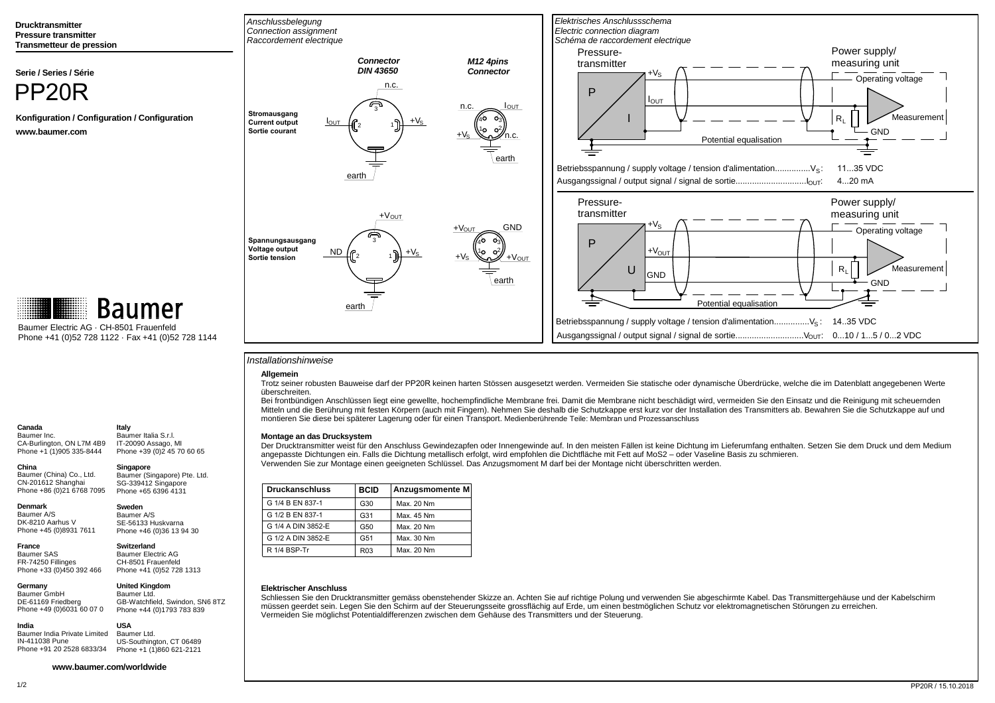**Drucktransmitter Pressure transmitterTransmetteur de pression**

**Serie / Series / Série**



 **Konfiguration / Configuration / Configurationwww.baumer.com**



Baumer Electric AG · CH-8501 FrauenfeldPhone +41 (0)52 728 1122 · Fax +41 (0)52 728 1144

# Baumer Inc.

 CA-Burlington, ON L7M 4B9 Phone +1 (1)905 335-8444**Italy** Baumer Italia S.r.l. IT-20090 Assago, MIPhone +39 (0)2 45 70 60 65

 Baumer (China) Co., Ltd.CN-201612 Shanghai Phone +86 (0)21 6768 7095**Singapore** Baumer (Singapore) Pte. Ltd. SG-339412 SingaporePhone +65 6396 4131

**Denmark**

**Germany**Baumer GmbH

**Canada**

**China**

#### Baumer A/SDK-8210 Aarhus V

Phone +45 (0)8931 7611

**France** Baumer SAS FR-74250 FillingesPhone +33 (0)450 392 466

## Phone +41 (0)52 728 1313**United Kingdom**

**Switzerland** Baumer Electric AGCH-8501 Frauenfeld

**Sweden** Baumer A/S SE-56133 HuskvarnaPhone +46 (0)36 13 94 30

 DE-61169 Friedberg Phone +49 (0)6031 60 07 0Baumer Ltd. GB-Watchfield, Swindon, SN6 8TZPhone +44 (0)1793 783 839

 Baumer India Private LimitedIN-411038 Pune**USA**Baumer Ltd.

 Phone +91 20 2528 6833/34 Phone +1 (1)860 621-2121US-Southington, CT 06489



## Installationshinweise

## **Allgemein**

Trotz seiner robusten Bauweise darf der PP20R keinen harten Stössen ausgesetzt werden. Vermeiden Sie statische oder dynamische Überdrücke, welche die im Datenblatt angegebenen Werte überschreiten.

Bei frontbündigen Anschlüssen liegt eine gewellte, hochempfindliche Membrane frei. Damit die Membrane nicht beschädigt wird, vermeiden Sie den Einsatz und die Reinigung mit scheuernden Mitteln und die Berührung mit festen Körpern (auch mit Fingern). Nehmen Sie deshalb die Schutzkappe erst kurz vor der Installation des Transmitters ab. Bewahren Sie die Schutzkappe auf undmontieren Sie diese bei späterer Lagerung oder für einen Transport. Medienberührende Teile: Membran und Prozessanschluss

## **Montage an das Drucksystem**

Der Drucktransmitter weist für den Anschluss Gewindezapfen oder Innengewinde auf. In den meisten Fällen ist keine Dichtung im Lieferumfang enthalten. Setzen Sie dem Druck und dem Medium angepasste Dichtungen ein. Falls die Dichtung metallisch erfolgt, wird empfohlen die Dichtfläche mit Fett auf MoS2 – oder Vaseline Basis zu schmieren.Verwenden Sie zur Montage einen geeigneten Schlüssel. Das Anzugsmoment M darf bei der Montage nicht überschritten werden.

| <b>Druckanschluss</b> | <b>BCID</b>     | Anzugsmomente M |
|-----------------------|-----------------|-----------------|
| G 1/4 B EN 837-1      | G30             | Max. 20 Nm      |
| G 1/2 B EN 837-1      | G31             | Max. 45 Nm      |
| G 1/4 A DIN 3852-E    | G <sub>50</sub> | Max. 20 Nm      |
| G 1/2 A DIN 3852-E    | G51             | Max. 30 Nm      |
| R 1/4 BSP-Tr          | R <sub>03</sub> | Max. 20 Nm      |

## **Elektrischer Anschluss**

 Schliessen Sie den Drucktransmitter gemäss obenstehender Skizze an. Achten Sie auf richtige Polung und verwenden Sie abgeschirmte Kabel. Das Transmittergehäuse und der Kabelschirmmüssen geerdet sein. Legen Sie den Schirm auf der Steuerungsseite grossflächig auf Erde, um einen bestmöglichen Schutz vor elektromagnetischen Störungen zu erreichen.Vermeiden Sie möglichst Potentialdifferenzen zwischen dem Gehäuse des Transmitters und der Steuerung.

#### **www.baumer.com/worldwide**

**India**